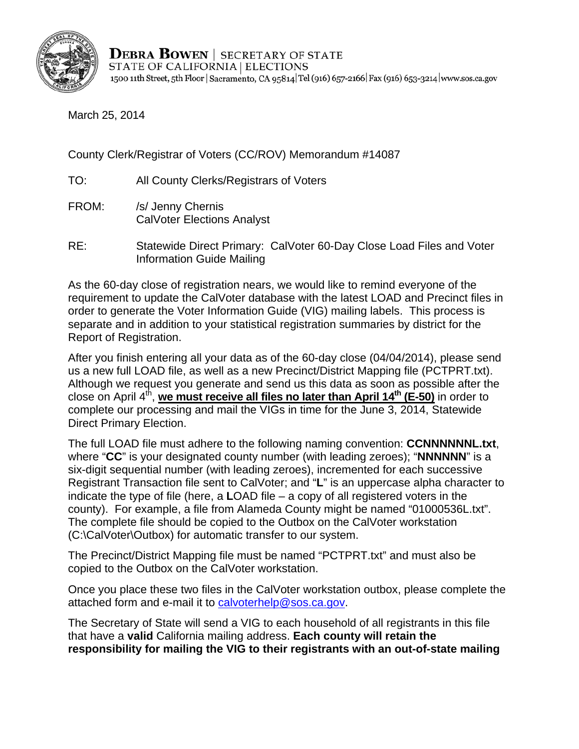

**DEBRA BOWEN** SECRETARY OF STATE STATE OF CALIFORNIA | ELECTIONS 1500 11th Street, 5th Floor | Sacramento, CA 95814 Tel (916) 657-2166 | Fax (916) 653-3214 | www.sos.ca.gov

March 25, 2014

County Clerk/Registrar of Voters (CC/ROV) Memorandum #14087

TO: All County Clerks/Registrars of Voters

- FROM: /s/ Jenny Chernis CalVoter Elections Analyst
- RE: Statewide Direct Primary: CalVoter 60-Day Close Load Files and Voter Information Guide Mailing

As the 60-day close of registration nears, we would like to remind everyone of the requirement to update the CalVoter database with the latest LOAD and Precinct files in order to generate the Voter Information Guide (VIG) mailing labels. This process is separate and in addition to your statistical registration summaries by district for the Report of Registration.

After you finish entering all your data as of the 60-day close (04/04/2014), please send us a new full LOAD file, as well as a new Precinct/District Mapping file (PCTPRT.txt). Although we request you generate and send us this data as soon as possible after the close on April 4<sup>th</sup>, we must receive all files no later than April 14<sup>th</sup> (E-50) in order to complete our processing and mail the VIGs in time for the June 3, 2014, Statewide Direct Primary Election.

The full LOAD file must adhere to the following naming convention: **CCNNNNNNL.txt**, where "**CC**" is your designated county number (with leading zeroes); "**NNNNNN**" is a six-digit sequential number (with leading zeroes), incremented for each successive Registrant Transaction file sent to CalVoter; and "**L**" is an uppercase alpha character to indicate the type of file (here, a **L**OAD file – a copy of all registered voters in the county). For example, a file from Alameda County might be named "01000536L.txt". The complete file should be copied to the Outbox on the CalVoter workstation (C:\CalVoter\Outbox) for automatic transfer to our system.

The Precinct/District Mapping file must be named "PCTPRT.txt" and must also be copied to the Outbox on the CalVoter workstation.

Once you place these two files in the CalVoter workstation outbox, please complete the attached form and e-mail it to calvoterhelp@sos.ca.gov.

The Secretary of State will send a VIG to each household of all registrants in this file that have a **valid** California mailing address. **Each county will retain the responsibility for mailing the VIG to their registrants with an out-of-state mailing**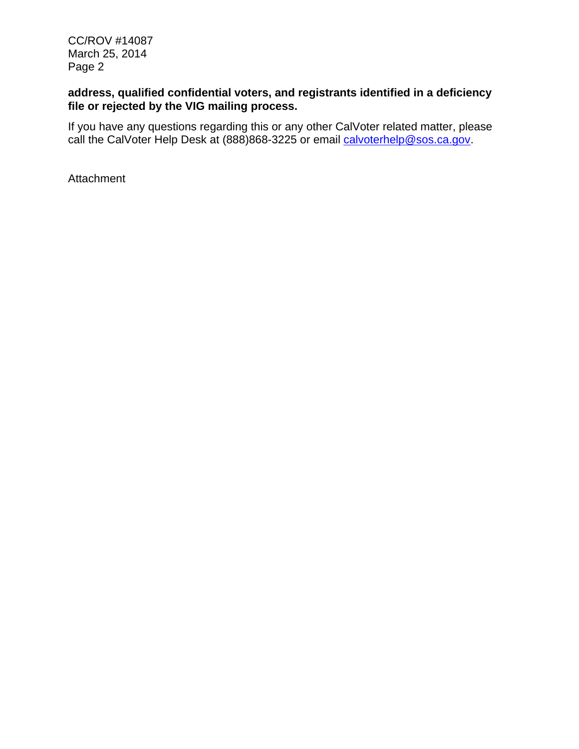CC/ROV #14087 March 25, 2014 Page 2

## **address, qualified confidential voters, and registrants identified in a deficiency file or rejected by the VIG mailing process.**

If you have any questions regarding this or any other CalVoter related matter, please call the CalVoter Help Desk at (888)868-3225 or email calvoterhelp@sos.ca.gov.

Attachment